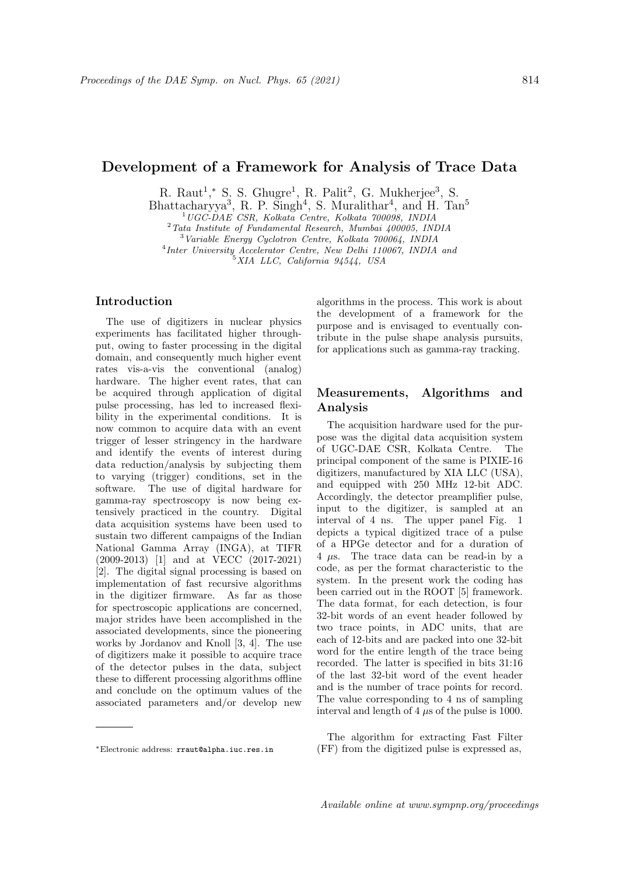# Development of a Framework for Analysis of Trace Data

R. Raut<sup>1</sup>,\* S. S. Ghugre<sup>1</sup>, R. Palit<sup>2</sup>, G. Mukherjee<sup>3</sup>, S.

Bhattacharyya<sup>3</sup>, R. P. Singh<sup>4</sup>, S. Muralithar<sup>4</sup>, and H. Tan<sup>5</sup>

<sup>1</sup>UGC-DAE CSR, Kolkata Centre, Kolkata 700098, INDIA

<sup>2</sup>Tata Institute of Fundamental Research, Mumbai 400005, INDIA

<sup>3</sup>Variable Energy Cyclotron Centre, Kolkata 700064, INDIA

4 Inter University Accelerator Centre, New Delhi 110067, INDIA and

 $5XIA$  LLC, California 94544, USA

### Introduction

The use of digitizers in nuclear physics experiments has facilitated higher throughput, owing to faster processing in the digital domain, and consequently much higher event rates vis-a-vis the conventional (analog) hardware. The higher event rates, that can be acquired through application of digital pulse processing, has led to increased flexibility in the experimental conditions. It is now common to acquire data with an event trigger of lesser stringency in the hardware and identify the events of interest during data reduction/analysis by subjecting them to varying (trigger) conditions, set in the software. The use of digital hardware for gamma-ray spectroscopy is now being extensively practiced in the country. Digital data acquisition systems have been used to sustain two different campaigns of the Indian National Gamma Array (INGA), at TIFR (2009-2013) [1] and at VECC (2017-2021) [2]. The digital signal processing is based on implementation of fast recursive algorithms in the digitizer firmware. As far as those for spectroscopic applications are concerned, major strides have been accomplished in the associated developments, since the pioneering works by Jordanov and Knoll [3, 4]. The use of digitizers make it possible to acquire trace of the detector pulses in the data, subject these to different processing algorithms offline and conclude on the optimum values of the associated parameters and/or develop new

algorithms in the process. This work is about the development of a framework for the purpose and is envisaged to eventually contribute in the pulse shape analysis pursuits, for applications such as gamma-ray tracking.

## Measurements, Algorithms and Analysis

The acquisition hardware used for the purpose was the digital data acquisition system of UGC-DAE CSR, Kolkata Centre. The principal component of the same is PIXIE-16 digitizers, manufactured by XIA LLC (USA), and equipped with 250 MHz 12-bit ADC. Accordingly, the detector preamplifier pulse, input to the digitizer, is sampled at an interval of 4 ns. The upper panel Fig. 1 depicts a typical digitized trace of a pulse of a HPGe detector and for a duration of 4 *µ*s. The trace data can be read-in by a code, as per the format characteristic to the system. In the present work the coding has been carried out in the ROOT [5] framework. The data format, for each detection, is four 32-bit words of an event header followed by two trace points, in ADC units, that are each of 12-bits and are packed into one 32-bit word for the entire length of the trace being recorded. The latter is specified in bits 31:16 of the last 32-bit word of the event header and is the number of trace points for record. The value corresponding to 4 ns of sampling interval and length of 4 *µ*s of the pulse is 1000.

The algorithm for extracting Fast Filter (FF) from the digitized pulse is expressed as,

<sup>∗</sup>Electronic address: rraut@alpha.iuc.res.in